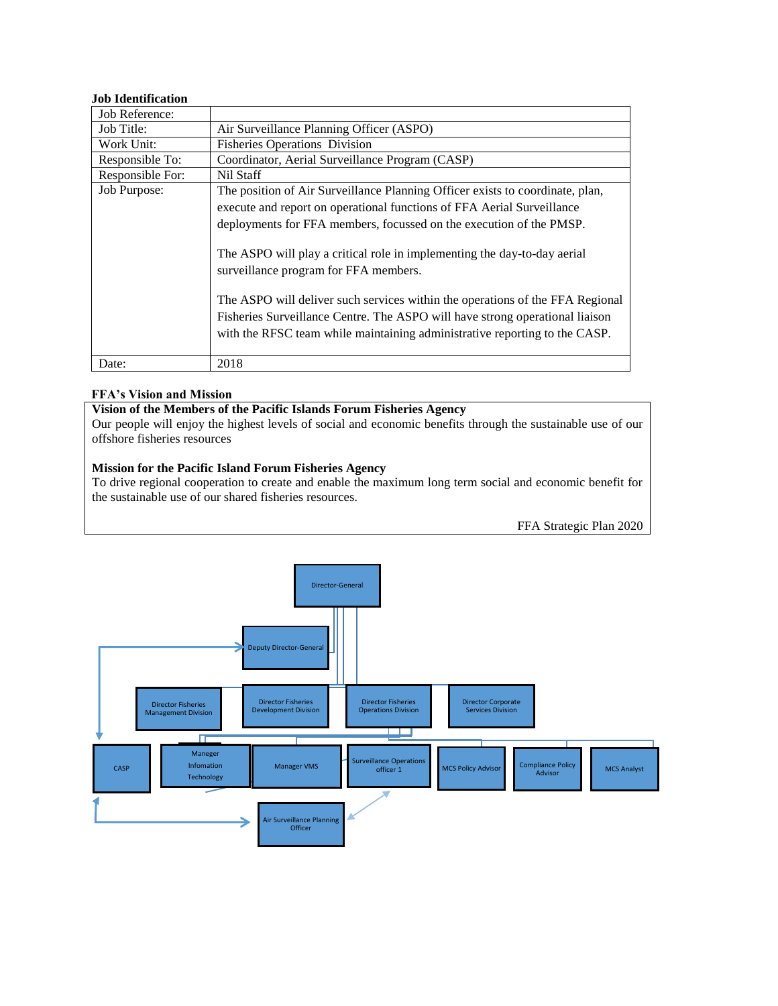## **Job Identification**

| Job Reference:   |                                                                                                                                                                                                                                             |  |
|------------------|---------------------------------------------------------------------------------------------------------------------------------------------------------------------------------------------------------------------------------------------|--|
| Job Title:       | Air Surveillance Planning Officer (ASPO)                                                                                                                                                                                                    |  |
| Work Unit:       | <b>Fisheries Operations Division</b>                                                                                                                                                                                                        |  |
| Responsible To:  | Coordinator, Aerial Surveillance Program (CASP)                                                                                                                                                                                             |  |
| Responsible For: | Nil Staff                                                                                                                                                                                                                                   |  |
| Job Purpose:     | The position of Air Surveillance Planning Officer exists to coordinate, plan,                                                                                                                                                               |  |
|                  | execute and report on operational functions of FFA Aerial Surveillance                                                                                                                                                                      |  |
|                  | deployments for FFA members, focussed on the execution of the PMSP.                                                                                                                                                                         |  |
|                  | The ASPO will play a critical role in implementing the day-to-day aerial<br>surveillance program for FFA members.                                                                                                                           |  |
|                  | The ASPO will deliver such services within the operations of the FFA Regional<br>Fisheries Surveillance Centre. The ASPO will have strong operational liaison<br>with the RFSC team while maintaining administrative reporting to the CASP. |  |
| Date:            | 2018                                                                                                                                                                                                                                        |  |

### **FFA's Vision and Mission**

### **Vision of the Members of the Pacific Islands Forum Fisheries Agency**

Our people will enjoy the highest levels of social and economic benefits through the sustainable use of our offshore fisheries resources

## **Mission for the Pacific Island Forum Fisheries Agency**

To drive regional cooperation to create and enable the maximum long term social and economic benefit for the sustainable use of our shared fisheries resources.

FFA Strategic Plan 2020

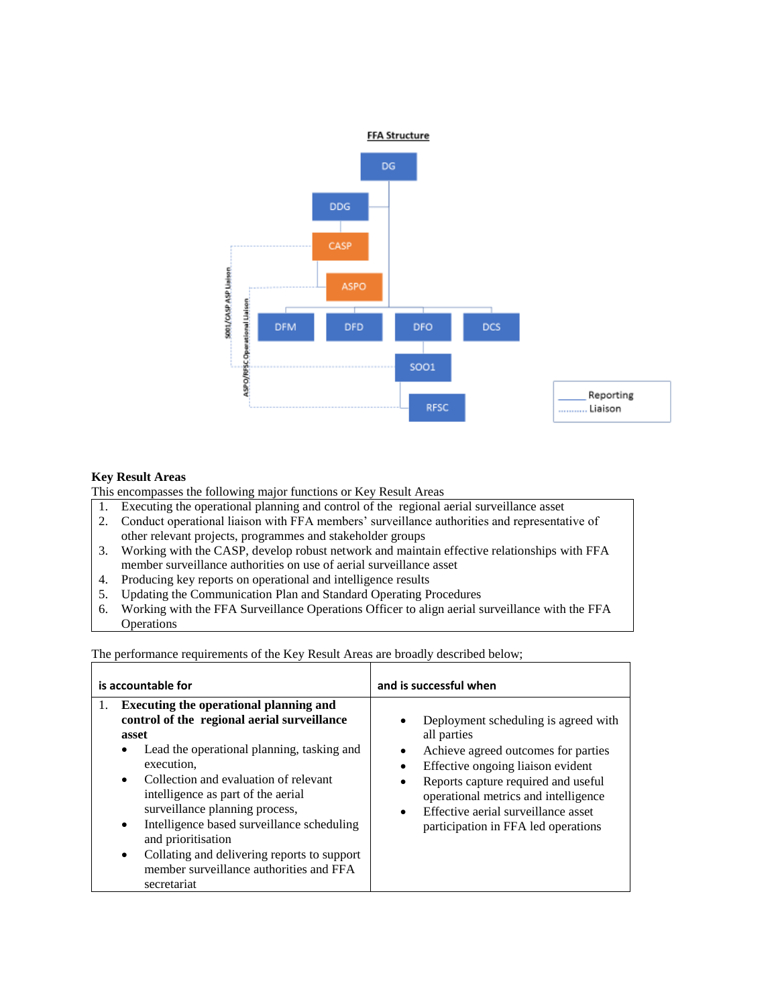

### **Key Result Areas**

This encompasses the following major functions or Key Result Areas

- 1. Executing the operational planning and control of the regional aerial surveillance asset
- 2. Conduct operational liaison with FFA members' surveillance authorities and representative of other relevant projects, programmes and stakeholder groups
- 3. Working with the CASP, develop robust network and maintain effective relationships with FFA member surveillance authorities on use of aerial surveillance asset
- 4. Producing key reports on operational and intelligence results
- 5. Updating the Communication Plan and Standard Operating Procedures
- 6. Working with the FFA Surveillance Operations Officer to align aerial surveillance with the FFA **Operations**

The performance requirements of the Key Result Areas are broadly described below;

| is accountable for                                                                                                                                                                                                                                                                                                                                                                                                                                                                                                | and is successful when                                                                                                                                                                                                                                                                                                      |
|-------------------------------------------------------------------------------------------------------------------------------------------------------------------------------------------------------------------------------------------------------------------------------------------------------------------------------------------------------------------------------------------------------------------------------------------------------------------------------------------------------------------|-----------------------------------------------------------------------------------------------------------------------------------------------------------------------------------------------------------------------------------------------------------------------------------------------------------------------------|
| <b>Executing the operational planning and</b><br>1.<br>control of the regional aerial surveillance<br>asset<br>Lead the operational planning, tasking and<br>٠<br>execution,<br>Collection and evaluation of relevant<br>$\bullet$<br>intelligence as part of the aerial<br>surveillance planning process,<br>Intelligence based surveillance scheduling<br>$\bullet$<br>and prioritisation<br>Collating and delivering reports to support<br>$\bullet$<br>member surveillance authorities and FFA<br>secretariat | Deployment scheduling is agreed with<br>all parties<br>Achieve agreed outcomes for parties<br>$\bullet$<br>Effective ongoing liaison evident<br>Reports capture required and useful<br>٠<br>operational metrics and intelligence<br>Effective aerial surveillance asset<br>$\bullet$<br>participation in FFA led operations |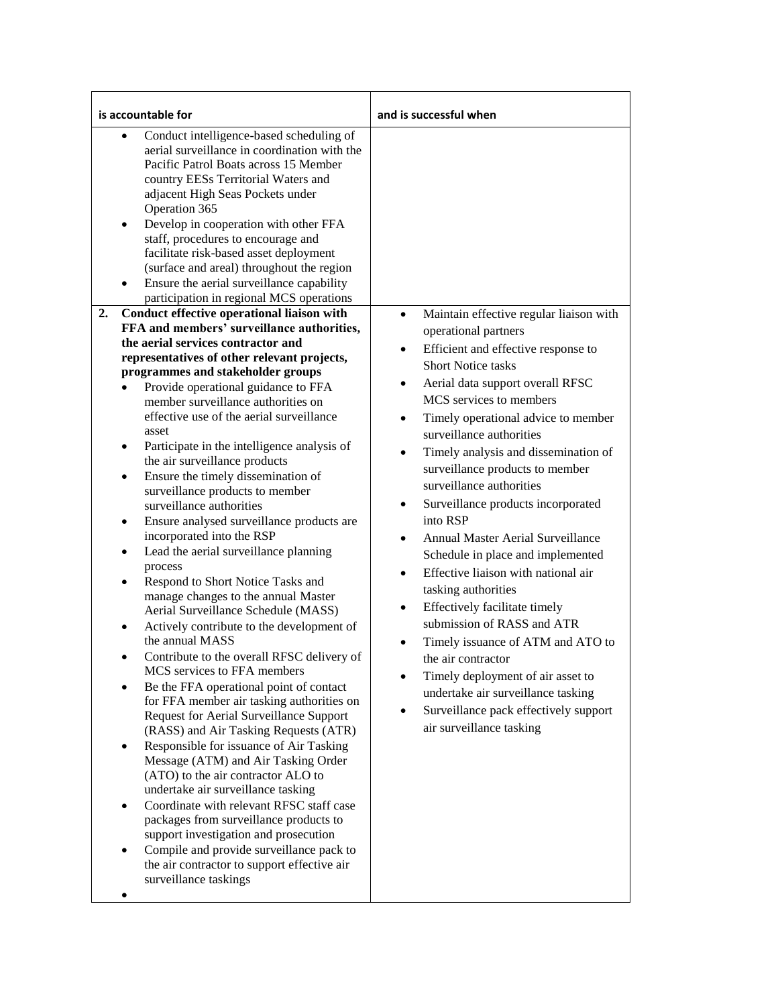| is accountable for                                                                                                                                                                                                                                                                                                                                                                                                                                                                                                                                                                                                                                                                                                                                                                                                                                                                                                                                                                                                                                                                                                                                                                                                                                                                                                                                                                                                                                                                                                                                                                                                                                                                                                                                                                                                                                                                                                                                                                                                                                                                                                                                                             | and is successful when                                                                                                                                                                                                                                                                                                                                                                                                                                                                                                                                                                                                                                                                                                                                                                                                                                                                                                                        |
|--------------------------------------------------------------------------------------------------------------------------------------------------------------------------------------------------------------------------------------------------------------------------------------------------------------------------------------------------------------------------------------------------------------------------------------------------------------------------------------------------------------------------------------------------------------------------------------------------------------------------------------------------------------------------------------------------------------------------------------------------------------------------------------------------------------------------------------------------------------------------------------------------------------------------------------------------------------------------------------------------------------------------------------------------------------------------------------------------------------------------------------------------------------------------------------------------------------------------------------------------------------------------------------------------------------------------------------------------------------------------------------------------------------------------------------------------------------------------------------------------------------------------------------------------------------------------------------------------------------------------------------------------------------------------------------------------------------------------------------------------------------------------------------------------------------------------------------------------------------------------------------------------------------------------------------------------------------------------------------------------------------------------------------------------------------------------------------------------------------------------------------------------------------------------------|-----------------------------------------------------------------------------------------------------------------------------------------------------------------------------------------------------------------------------------------------------------------------------------------------------------------------------------------------------------------------------------------------------------------------------------------------------------------------------------------------------------------------------------------------------------------------------------------------------------------------------------------------------------------------------------------------------------------------------------------------------------------------------------------------------------------------------------------------------------------------------------------------------------------------------------------------|
| Conduct intelligence-based scheduling of<br>$\bullet$<br>aerial surveillance in coordination with the<br>Pacific Patrol Boats across 15 Member<br>country EESs Territorial Waters and<br>adjacent High Seas Pockets under<br>Operation 365<br>Develop in cooperation with other FFA<br>٠<br>staff, procedures to encourage and<br>facilitate risk-based asset deployment<br>(surface and areal) throughout the region<br>Ensure the aerial surveillance capability<br>$\bullet$<br>participation in regional MCS operations<br>Conduct effective operational liaison with<br>2.<br>FFA and members' surveillance authorities,<br>the aerial services contractor and<br>representatives of other relevant projects,<br>programmes and stakeholder groups<br>Provide operational guidance to FFA<br>$\bullet$<br>member surveillance authorities on<br>effective use of the aerial surveillance<br>asset<br>Participate in the intelligence analysis of<br>٠<br>the air surveillance products<br>Ensure the timely dissemination of<br>$\bullet$<br>surveillance products to member<br>surveillance authorities<br>Ensure analysed surveillance products are<br>$\bullet$<br>incorporated into the RSP<br>Lead the aerial surveillance planning<br>$\bullet$<br>process<br>Respond to Short Notice Tasks and<br>$\bullet$<br>manage changes to the annual Master<br>Aerial Surveillance Schedule (MASS)<br>Actively contribute to the development of<br>the annual MASS<br>Contribute to the overall RFSC delivery of<br>MCS services to FFA members<br>Be the FFA operational point of contact<br>$\bullet$<br>for FFA member air tasking authorities on<br>Request for Aerial Surveillance Support<br>(RASS) and Air Tasking Requests (ATR)<br>Responsible for issuance of Air Tasking<br>٠<br>Message (ATM) and Air Tasking Order<br>(ATO) to the air contractor ALO to<br>undertake air surveillance tasking<br>Coordinate with relevant RFSC staff case<br>$\bullet$<br>packages from surveillance products to<br>support investigation and prosecution<br>Compile and provide surveillance pack to<br>the air contractor to support effective air<br>surveillance taskings | Maintain effective regular liaison with<br>$\bullet$<br>operational partners<br>Efficient and effective response to<br>$\bullet$<br><b>Short Notice tasks</b><br>Aerial data support overall RFSC<br>٠<br>MCS services to members<br>Timely operational advice to member<br>$\bullet$<br>surveillance authorities<br>Timely analysis and dissemination of<br>٠<br>surveillance products to member<br>surveillance authorities<br>Surveillance products incorporated<br>$\bullet$<br>into RSP<br>Annual Master Aerial Surveillance<br>٠<br>Schedule in place and implemented<br>Effective liaison with national air<br>$\bullet$<br>tasking authorities<br>Effectively facilitate timely<br>$\bullet$<br>submission of RASS and ATR<br>Timely issuance of ATM and ATO to<br>the air contractor<br>Timely deployment of air asset to<br>undertake air surveillance tasking<br>Surveillance pack effectively support<br>air surveillance tasking |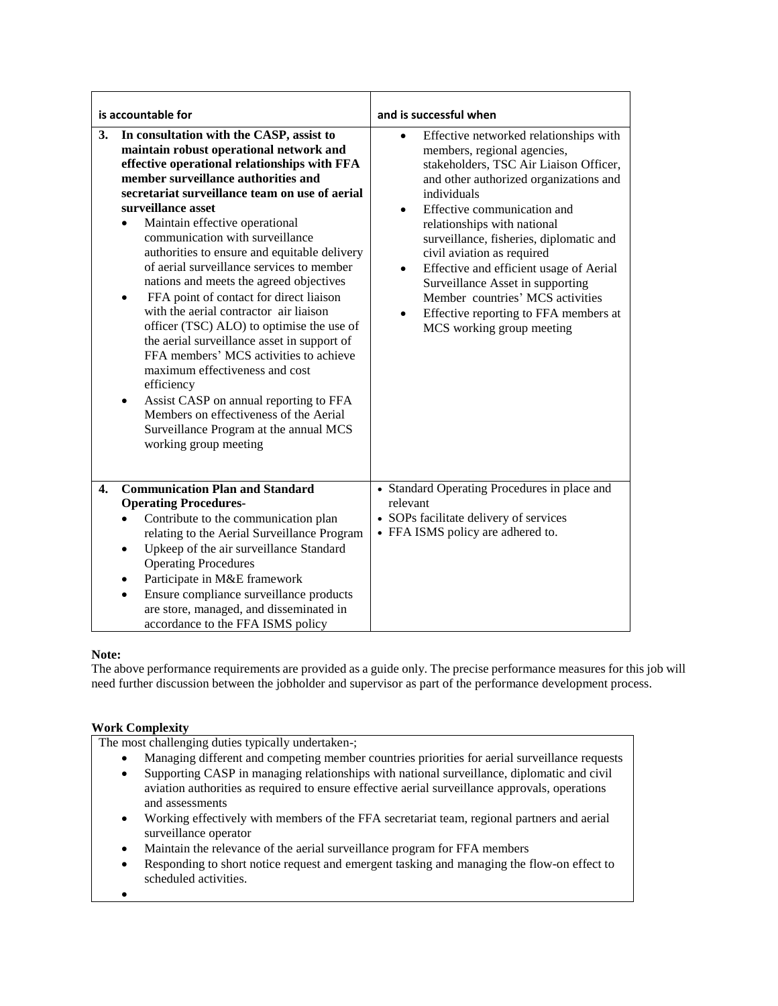| is accountable for                                                                                                                                                                                                                                                                                                                                                                                                                                                                                                                                                                                                                                                                                                                                                                                                                                                                                                                     |                                                                                                                                                                                                                                                                                                                                                                                                                                           | and is successful when                                                                                                                                                                                                                                                                                                                                                                                                                                                                                                                                       |
|----------------------------------------------------------------------------------------------------------------------------------------------------------------------------------------------------------------------------------------------------------------------------------------------------------------------------------------------------------------------------------------------------------------------------------------------------------------------------------------------------------------------------------------------------------------------------------------------------------------------------------------------------------------------------------------------------------------------------------------------------------------------------------------------------------------------------------------------------------------------------------------------------------------------------------------|-------------------------------------------------------------------------------------------------------------------------------------------------------------------------------------------------------------------------------------------------------------------------------------------------------------------------------------------------------------------------------------------------------------------------------------------|--------------------------------------------------------------------------------------------------------------------------------------------------------------------------------------------------------------------------------------------------------------------------------------------------------------------------------------------------------------------------------------------------------------------------------------------------------------------------------------------------------------------------------------------------------------|
| In consultation with the CASP, assist to<br>3.<br>maintain robust operational network and<br>effective operational relationships with FFA<br>member surveillance authorities and<br>secretariat surveillance team on use of aerial<br>surveillance asset<br>Maintain effective operational<br>$\bullet$<br>communication with surveillance<br>authorities to ensure and equitable delivery<br>of aerial surveillance services to member<br>nations and meets the agreed objectives<br>FFA point of contact for direct liaison<br>٠<br>with the aerial contractor air liaison<br>officer (TSC) ALO) to optimise the use of<br>the aerial surveillance asset in support of<br>FFA members' MCS activities to achieve<br>maximum effectiveness and cost<br>efficiency<br>Assist CASP on annual reporting to FFA<br>$\bullet$<br>Members on effectiveness of the Aerial<br>Surveillance Program at the annual MCS<br>working group meeting |                                                                                                                                                                                                                                                                                                                                                                                                                                           | Effective networked relationships with<br>$\bullet$<br>members, regional agencies,<br>stakeholders, TSC Air Liaison Officer,<br>and other authorized organizations and<br>individuals<br>Effective communication and<br>$\bullet$<br>relationships with national<br>surveillance, fisheries, diplomatic and<br>civil aviation as required<br>Effective and efficient usage of Aerial<br>$\bullet$<br>Surveillance Asset in supporting<br>Member countries' MCS activities<br>Effective reporting to FFA members at<br>$\bullet$<br>MCS working group meeting |
| 4.                                                                                                                                                                                                                                                                                                                                                                                                                                                                                                                                                                                                                                                                                                                                                                                                                                                                                                                                     | <b>Communication Plan and Standard</b><br><b>Operating Procedures-</b><br>Contribute to the communication plan<br>relating to the Aerial Surveillance Program<br>Upkeep of the air surveillance Standard<br>$\bullet$<br><b>Operating Procedures</b><br>Participate in M&E framework<br>$\bullet$<br>Ensure compliance surveillance products<br>$\bullet$<br>are store, managed, and disseminated in<br>accordance to the FFA ISMS policy | • Standard Operating Procedures in place and<br>relevant<br>• SOPs facilitate delivery of services<br>• FFA ISMS policy are adhered to.                                                                                                                                                                                                                                                                                                                                                                                                                      |

### **Note:**

The above performance requirements are provided as a guide only. The precise performance measures for this job will need further discussion between the jobholder and supervisor as part of the performance development process.

### **Work Complexity**

The most challenging duties typically undertaken-;

- Managing different and competing member countries priorities for aerial surveillance requests
- Supporting CASP in managing relationships with national surveillance, diplomatic and civil aviation authorities as required to ensure effective aerial surveillance approvals, operations and assessments
- Working effectively with members of the FFA secretariat team, regional partners and aerial surveillance operator
- Maintain the relevance of the aerial surveillance program for FFA members
- Responding to short notice request and emergent tasking and managing the flow-on effect to scheduled activities.
- $\bullet$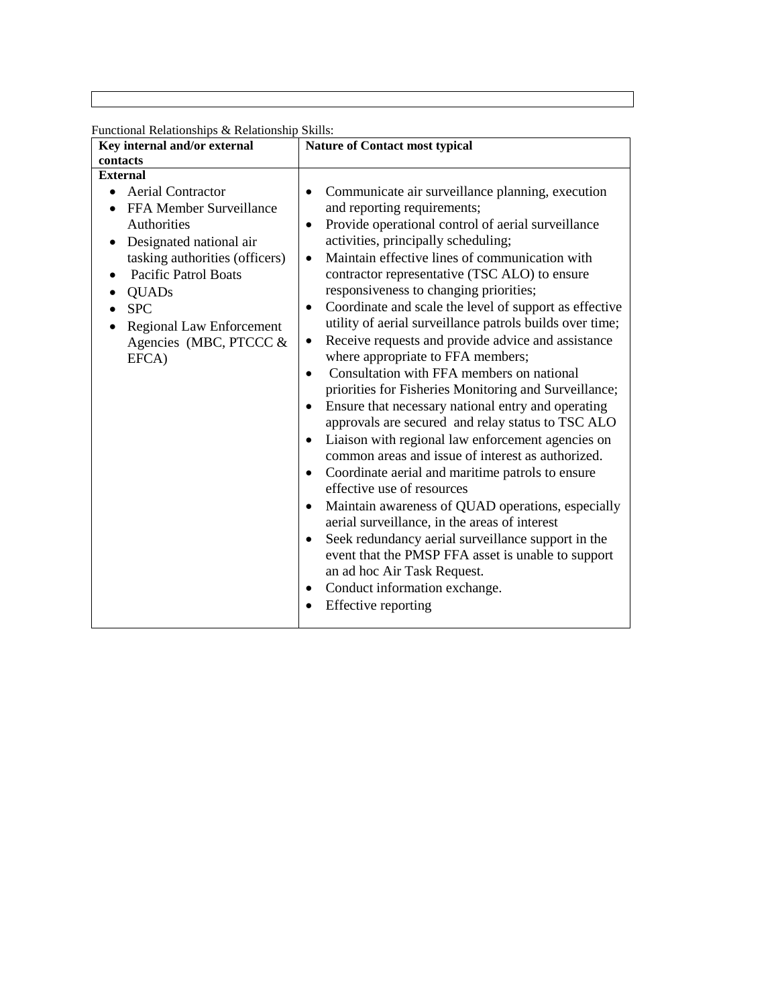Functional Relationships & Relationship Skills:

| Key internal and/or external                                                                                                                                                                                                                                                         | <b>Nature of Contact most typical</b>                                                                                                                                                                                                                                                                                                                                                                                                                                                                                                                                                                                                                                                                                                                                                                                                                                                                                                                                                                                                                                                                                                                                                                                                                                                                                                                                                                                |
|--------------------------------------------------------------------------------------------------------------------------------------------------------------------------------------------------------------------------------------------------------------------------------------|----------------------------------------------------------------------------------------------------------------------------------------------------------------------------------------------------------------------------------------------------------------------------------------------------------------------------------------------------------------------------------------------------------------------------------------------------------------------------------------------------------------------------------------------------------------------------------------------------------------------------------------------------------------------------------------------------------------------------------------------------------------------------------------------------------------------------------------------------------------------------------------------------------------------------------------------------------------------------------------------------------------------------------------------------------------------------------------------------------------------------------------------------------------------------------------------------------------------------------------------------------------------------------------------------------------------------------------------------------------------------------------------------------------------|
| contacts                                                                                                                                                                                                                                                                             |                                                                                                                                                                                                                                                                                                                                                                                                                                                                                                                                                                                                                                                                                                                                                                                                                                                                                                                                                                                                                                                                                                                                                                                                                                                                                                                                                                                                                      |
| <b>External</b>                                                                                                                                                                                                                                                                      |                                                                                                                                                                                                                                                                                                                                                                                                                                                                                                                                                                                                                                                                                                                                                                                                                                                                                                                                                                                                                                                                                                                                                                                                                                                                                                                                                                                                                      |
| <b>Aerial Contractor</b><br>FFA Member Surveillance<br>Authorities<br>Designated national air<br>$\bullet$<br>tasking authorities (officers)<br><b>Pacific Patrol Boats</b><br>٠<br><b>QUADs</b><br><b>SPC</b><br><b>Regional Law Enforcement</b><br>Agencies (MBC, PTCCC &<br>EFCA) | Communicate air surveillance planning, execution<br>$\bullet$<br>and reporting requirements;<br>Provide operational control of aerial surveillance<br>$\bullet$<br>activities, principally scheduling;<br>Maintain effective lines of communication with<br>$\bullet$<br>contractor representative (TSC ALO) to ensure<br>responsiveness to changing priorities;<br>Coordinate and scale the level of support as effective<br>$\bullet$<br>utility of aerial surveillance patrols builds over time;<br>Receive requests and provide advice and assistance<br>$\bullet$<br>where appropriate to FFA members;<br>Consultation with FFA members on national<br>$\bullet$<br>priorities for Fisheries Monitoring and Surveillance;<br>Ensure that necessary national entry and operating<br>$\bullet$<br>approvals are secured and relay status to TSC ALO<br>Liaison with regional law enforcement agencies on<br>$\bullet$<br>common areas and issue of interest as authorized.<br>Coordinate aerial and maritime patrols to ensure<br>$\bullet$<br>effective use of resources<br>Maintain awareness of QUAD operations, especially<br>$\bullet$<br>aerial surveillance, in the areas of interest<br>Seek redundancy aerial surveillance support in the<br>$\bullet$<br>event that the PMSP FFA asset is unable to support<br>an ad hoc Air Task Request.<br>Conduct information exchange.<br>٠<br>Effective reporting |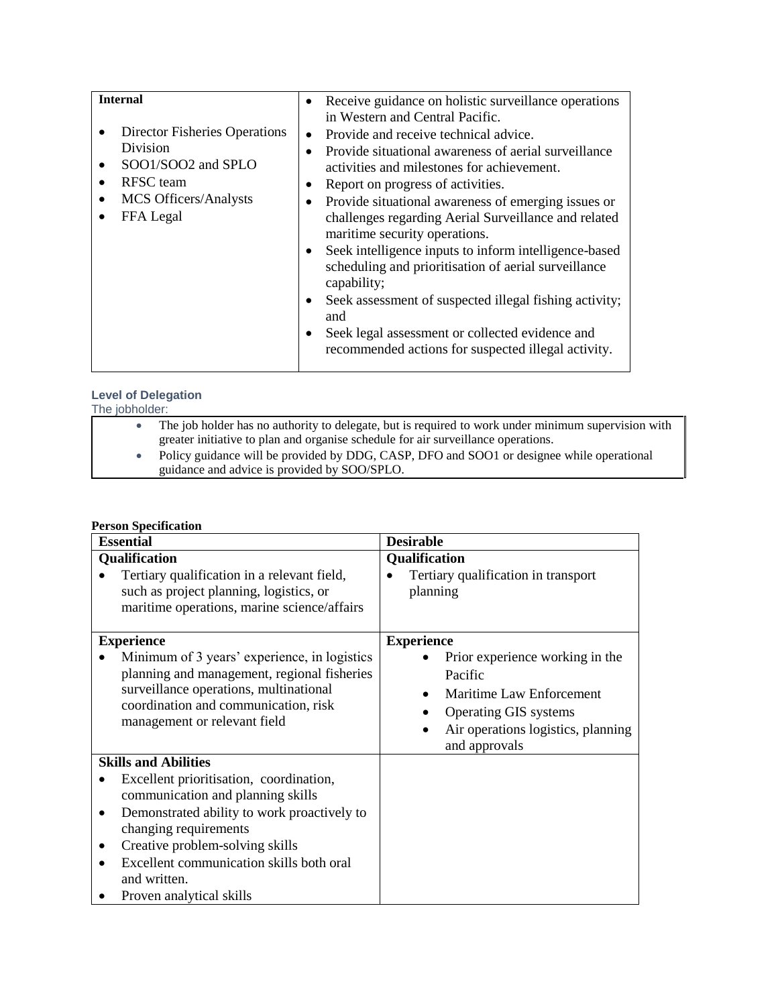| <b>Internal</b>               | Receive guidance on holistic surveillance operations<br>$\bullet$   |
|-------------------------------|---------------------------------------------------------------------|
|                               | in Western and Central Pacific.                                     |
| Director Fisheries Operations | Provide and receive technical advice.<br>$\bullet$                  |
| Division                      | Provide situational awareness of aerial surveillance<br>$\bullet$   |
| SOO1/SOO2 and SPLO            | activities and milestones for achievement.                          |
| <b>RFSC</b> team              | Report on progress of activities.<br>$\bullet$                      |
| <b>MCS Officers/Analysts</b>  | Provide situational awareness of emerging issues or<br>$\bullet$    |
| FFA Legal                     | challenges regarding Aerial Surveillance and related                |
|                               | maritime security operations.                                       |
|                               | Seek intelligence inputs to inform intelligence-based<br>$\bullet$  |
|                               | scheduling and prioritisation of aerial surveillance                |
|                               | capability;                                                         |
|                               | Seek assessment of suspected illegal fishing activity;<br>$\bullet$ |
|                               | and                                                                 |
|                               | Seek legal assessment or collected evidence and<br>$\bullet$        |
|                               | recommended actions for suspected illegal activity.                 |
|                               |                                                                     |

# **Level of Delegation**

| The iobholder: |  |                                                                                                     |
|----------------|--|-----------------------------------------------------------------------------------------------------|
|                |  | The job holder has no authority to delegate, but is required to work under minimum supervision with |
|                |  | greater initiative to plan and organise schedule for air surveillance operations.                   |
|                |  | Policy guidance will be provided by DDG, CASP, DFO and SOO1 or designee while operational           |
|                |  | guidance and advice is provided by SOO/SPLO.                                                        |

# **Person Specification**

| <b>Essential</b>                                                                                                                                                                                                                                                                                               | <b>Desirable</b>                                                                                                                                                                   |
|----------------------------------------------------------------------------------------------------------------------------------------------------------------------------------------------------------------------------------------------------------------------------------------------------------------|------------------------------------------------------------------------------------------------------------------------------------------------------------------------------------|
| Qualification<br>Tertiary qualification in a relevant field,<br>such as project planning, logistics, or<br>maritime operations, marine science/affairs                                                                                                                                                         | <b>Qualification</b><br>Tertiary qualification in transport<br>planning                                                                                                            |
| <b>Experience</b><br>Minimum of 3 years' experience, in logistics<br>planning and management, regional fisheries<br>surveillance operations, multinational<br>coordination and communication, risk<br>management or relevant field                                                                             | <b>Experience</b><br>Prior experience working in the<br>Pacific<br>Maritime Law Enforcement<br><b>Operating GIS systems</b><br>Air operations logistics, planning<br>and approvals |
| <b>Skills and Abilities</b><br>Excellent prioritisation, coordination,<br>communication and planning skills<br>Demonstrated ability to work proactively to<br>changing requirements<br>Creative problem-solving skills<br>Excellent communication skills both oral<br>and written.<br>Proven analytical skills |                                                                                                                                                                                    |